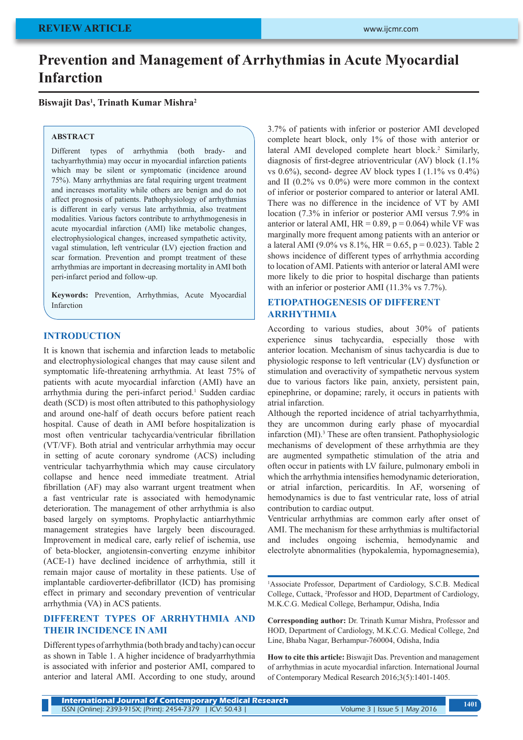# **Prevention and Management of Arrhythmias in Acute Myocardial Infarction**

**Biswajit Das1 , Trinath Kumar Mishra2**

#### **ABSTRACT**

Different types of arrhythmia (both brady- and tachyarrhythmia) may occur in myocardial infarction patients which may be silent or symptomatic (incidence around 75%). Many arrhythmias are fatal requiring urgent treatment and increases mortality while others are benign and do not affect prognosis of patients. Pathophysiology of arrhythmias is different in early versus late arrhythmia, also treatment modalities. Various factors contribute to arrhythmogenesis in acute myocardial infarction (AMI) like metabolic changes, electrophysiological changes, increased sympathetic activity, vagal stimulation, left ventricular (LV) ejection fraction and scar formation. Prevention and prompt treatment of these arrhythmias are important in decreasing mortality in AMI both peri-infarct period and follow-up.

**Keywords:** Prevention, Arrhythmias, Acute Myocardial Infarction

#### **INTRODUCTION**

It is known that ischemia and infarction leads to metabolic and electrophysiological changes that may cause silent and symptomatic life-threatening arrhythmia. At least 75% of patients with acute myocardial infarction (AMI) have an arrhythmia during the peri-infarct period.<sup>1</sup> Sudden cardiac death (SCD) is most often attributed to this pathophysiology and around one-half of death occurs before patient reach hospital. Cause of death in AMI before hospitalization is most often ventricular tachycardia/ventricular fibrillation (VT/VF). Both atrial and ventricular arrhythmia may occur in setting of acute coronary syndrome (ACS) including ventricular tachyarrhythmia which may cause circulatory collapse and hence need immediate treatment. Atrial fibrillation (AF) may also warrant urgent treatment when a fast ventricular rate is associated with hemodynamic deterioration. The management of other arrhythmia is also based largely on symptoms. Prophylactic antiarrhythmic management strategies have largely been discouraged. Improvement in medical care, early relief of ischemia, use of beta-blocker, angiotensin-converting enzyme inhibitor (ACE-1) have declined incidence of arrhythmia, still it remain major cause of mortality in these patients. Use of implantable cardioverter-defibrillator (ICD) has promising effect in primary and secondary prevention of ventricular arrhythmia (VA) in ACS patients.

# **DIFFERENT TYPES OF ARRHYTHMIA AND THEIR INCIDENCE IN AMI**

Different types of arrhythmia (both brady and tachy) can occur as shown in Table 1. A higher incidence of bradyarrhythmia is associated with inferior and posterior AMI, compared to anterior and lateral AMI. According to one study, around 3.7% of patients with inferior or posterior AMI developed complete heart block, only 1% of those with anterior or lateral AMI developed complete heart block.<sup>2</sup> Similarly, diagnosis of first-degree atrioventricular (AV) block (1.1% vs  $0.6\%$ ), second- degree AV block types I (1.1% vs  $0.4\%$ ) and II (0.2% vs 0.0%) were more common in the context of inferior or posterior compared to anterior or lateral AMI. There was no difference in the incidence of VT by AMI location (7.3% in inferior or posterior AMI versus 7.9% in anterior or lateral AMI,  $HR = 0.89$ ,  $p = 0.064$ ) while VF was marginally more frequent among patients with an anterior or a lateral AMI (9.0% vs  $8.1\%$ , HR = 0.65, p = 0.023). Table 2 shows incidence of different types of arrhythmia according to location of AMI. Patients with anterior or lateral AMI were more likely to die prior to hospital discharge than patients with an inferior or posterior AMI (11.3% vs 7.7%).

# **ETIOPATHOGENESIS OF DIFFERENT ARRHYTHMIA**

According to various studies, about 30% of patients experience sinus tachycardia, especially those with anterior location. Mechanism of sinus tachycardia is due to physiologic response to left ventricular (LV) dysfunction or stimulation and overactivity of sympathetic nervous system due to various factors like pain, anxiety, persistent pain, epinephrine, or dopamine; rarely, it occurs in patients with atrial infarction.

Although the reported incidence of atrial tachyarrhythmia, they are uncommon during early phase of myocardial infarction (MI).<sup>3</sup> These are often transient. Pathophysiologic mechanisms of development of these arrhythmia are they are augmented sympathetic stimulation of the atria and often occur in patients with LV failure, pulmonary emboli in which the arrhythmia intensifies hemodynamic deterioration, or atrial infarction, pericarditis. In AF, worsening of hemodynamics is due to fast ventricular rate, loss of atrial contribution to cardiac output.

Ventricular arrhythmias are common early after onset of AMI. The mechanism for these arrhythmias is multifactorial and includes ongoing ischemia, hemodynamic and electrolyte abnormalities (hypokalemia, hypomagnesemia),

1 Associate Professor, Department of Cardiology, S.C.B. Medical College, Cuttack, 2 Professor and HOD, Department of Cardiology, M.K.C.G. Medical College, Berhampur, Odisha, India

**Corresponding author:** Dr. Trinath Kumar Mishra, Professor and HOD, Department of Cardiology, M.K.C.G. Medical College, 2nd Line, Bhaba Nagar, Berhampur-760004, Odisha, India

**How to cite this article:** Biswajit Das. Prevention and management of arrhythmias in acute myocardial infarction. International Journal of Contemporary Medical Research 2016;3(5):1401-1405.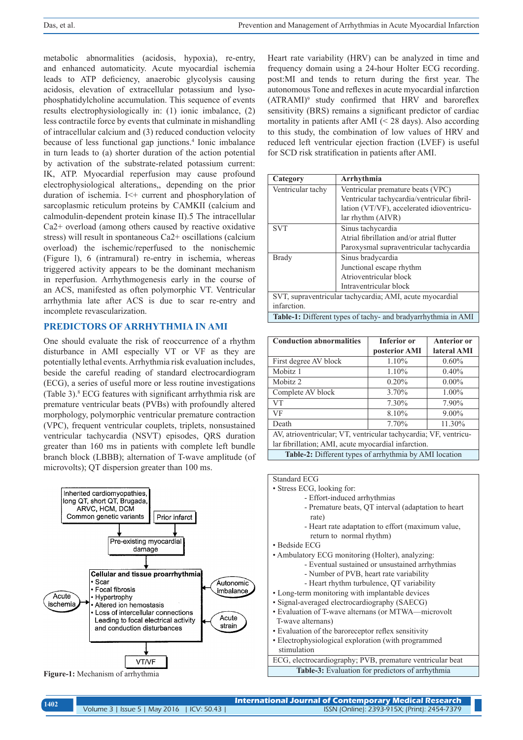metabolic abnormalities (acidosis, hypoxia), re-entry, and enhanced automaticity. Acute myocardial ischemia leads to ATP deficiency, anaerobic glycolysis causing acidosis, elevation of extracellular potassium and lysophosphatidylcholine accumulation. This sequence of events results electrophysiologically in: (1) ionic imbalance, (2) less contractile force by events that culminate in mishandling of intracellular calcium and (3) reduced conduction velocity because of less functional gap junctions.4 Ionic imbalance in turn leads to (a) shorter duration of the action potential by activation of the substrate-related potassium current: IK, ATP. Myocardial reperfusion may cause profound electrophysiological alterations,, depending on the prior duration of ischemia. I<+ current and phosphorylation of sarcoplasmic reticulum proteins by CAMKII (calcium and calmodulin-dependent protein kinase II).5 The intracellular Ca2+ overload (among others caused by reactive oxidative stress) will result in spontaneous Ca2+ oscillations (calcium overload) the ischemic/reperfused to the nonischemic (Figure l), 6 (intramural) re-entry in ischemia, whereas triggered activity appears to be the dominant mechanism in reperfusion. Arrhythmogenesis early in the course of an ACS, manifested as often polymorphic VT. Ventricular arrhythmia late after ACS is due to scar re-entry and incomplete revascularization.

## **PREDICTORS OF ARRHYTHMIA IN AMI**

One should evaluate the risk of reoccurrence of a rhythm disturbance in AMI especially VT or VF as they are potentially lethal events. Arrhythmia risk evaluation includes, beside the careful reading of standard electrocardiogram (ECG), a series of useful more or less routine investigations (Table 3).8 ECG features with significant arrhythmia risk are premature ventricular beats (PVBs) with profoundly altered morphology, polymorphic ventricular premature contraction (VPC), frequent ventricular couplets, triplets, nonsustained ventricular tachycardia (NSVT) episodes, QRS duration greater than 160 ms in patients with complete left bundle branch block (LBBB); alternation of T-wave amplitude (of microvolts); QT dispersion greater than 100 ms.



**Figure-1:** Mechanism of arrhythmia

Heart rate variability (HRV) can be analyzed in time and frequency domain using a 24-hour Holter ECG recording. post:MI and tends to return during the first year. The autonomous Tone and reflexes in acute myocardial infarction (ATRAMI)9 study confirmed that HRV and baroreflex sensitivity (BRS) remains a significant predictor of cardiac mortality in patients after AMI (< 28 days). Also according to this study, the combination of low values of HRV and reduced left ventricular ejection fraction (LVEF) is useful for SCD risk stratification in patients after AMI.

| Category                                                      | Arrhythmia                                  |  |  |
|---------------------------------------------------------------|---------------------------------------------|--|--|
| Ventricular tachy                                             | Ventricular premature beats (VPC)           |  |  |
|                                                               | Ventricular tachycardia/ventricular fibril- |  |  |
|                                                               | lation (VT/VF), accelerated idioventricu-   |  |  |
|                                                               | lar rhythm (AIVR)                           |  |  |
| <b>SVT</b>                                                    | Sinus tachycardia                           |  |  |
|                                                               | Atrial fibrillation and/or atrial flutter   |  |  |
|                                                               | Paroxysmal supraventricular tachycardia     |  |  |
| Brady                                                         | Sinus bradycardia                           |  |  |
|                                                               | Junctional escape rhythm                    |  |  |
|                                                               | Atrioventricular block                      |  |  |
|                                                               | Intraventricular block                      |  |  |
| SVT, supraventricular tachycardia; AMI, acute myocardial      |                                             |  |  |
| infarction.                                                   |                                             |  |  |
| Table-1: Different types of tachy- and bradyarrhythmia in AMI |                                             |  |  |

| <b>Conduction abnormalities</b>                                  | <b>Inferior</b> or | <b>Anterior or</b> |  |  |
|------------------------------------------------------------------|--------------------|--------------------|--|--|
|                                                                  | posterior AMI      | lateral AMI        |  |  |
| First degree AV block                                            | 1.10%              | $0.60\%$           |  |  |
| Mobitz <sub>1</sub>                                              | 1.10%              | 0.40%              |  |  |
| Mobitz 2                                                         | 0.20%              | $0.00\%$           |  |  |
| Complete AV block                                                | 3.70%              | $1.00\%$           |  |  |
| <b>VT</b>                                                        | 7.30%              | 7.90%              |  |  |
| VF                                                               | 8.10%              | $9.00\%$           |  |  |
| Death                                                            | 7.70%              | 11.30%             |  |  |
| AV, atrioventricular; VT, ventricular tachycardia; VF, ventricu- |                    |                    |  |  |
| lar fibrillation; AMI, acute myocardial infarction.              |                    |                    |  |  |
| Table-2: Different types of arrhythmia by AMI location           |                    |                    |  |  |

Standard ECG

- Effort-induced arrhythmias
	- Premature beats, QT interval (adaptation to heart rate)
	- Heart rate adaptation to effort (maximum value, return to normal rhythm)
- Bedside ECG
- Ambulatory ECG monitoring (Holter), analyzing:
	- Eventual sustained or unsustained arrhythmias
	- Number of PVB, heart rate variability
	- Heart rhythm turbulence, QT variability
- Long-term monitoring with implantable devices
- Signal-averaged electrocardiography (SAECG)
- Evaluation of T-wave alternans (or MTWA—microvolt T-wave alternans)
- Evaluation of the baroreceptor reflex sensitivity
- Electrophysiological exploration (with programmed stimulation
- ECG, electrocardiography; PVB, premature ventricular beat **Table-3:** Evaluation for predictors of arrhythmia

<sup>•</sup> Stress ECG, looking for: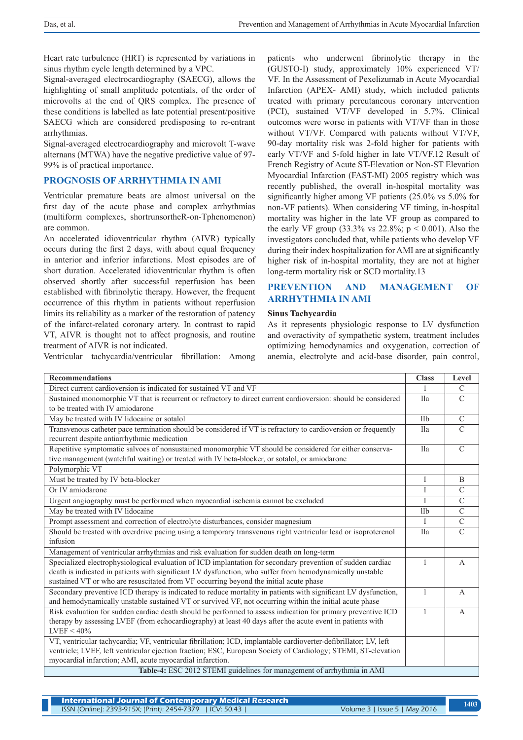Heart rate turbulence (HRT) is represented by variations in sinus rhythm cycle length determined by a VPC.

Signal-averaged electrocardiography (SAECG), allows the highlighting of small amplitude potentials, of the order of microvolts at the end of QRS complex. The presence of these conditions is labelled as late potential present/positive SAECG which are considered predisposing to re-entrant arrhythmias.

Signal-averaged electrocardiography and microvolt T-wave alternans (MTWA) have the negative predictive value of 97- 99% is of practical importance.

# **PROGNOSIS OF ARRHYTHMIA IN AMI**

Ventricular premature beats are almost universal on the first day of the acute phase and complex arrhythmias (multiform complexes, shortrunsortheR-on-Tphenomenon) are common.

An accelerated idioventricular rhythm (AIVR) typically occurs during the first 2 days, with about equal frequency in anterior and inferior infarctions. Most episodes are of short duration. Accelerated idioventricular rhythm is often observed shortly after successful reperfusion has been established with fibrinolytic therapy. However, the frequent occurrence of this rhythm in patients without reperfusion limits its reliability as a marker of the restoration of patency of the infarct-related coronary artery. In contrast to rapid VT, AIVR is thought not to affect prognosis, and routine treatment of AIVR is not indicated.

Ventricular tachycardia/ventricular fibrillation: Among

patients who underwent fibrinolytic therapy in the (GUSTO-I) study, approximately 10% experienced VT/ VF. In the Assessment of Pexelizumab in Acute Myocardial Infarction (APEX- AMI) study, which included patients treated with primary percutaneous coronary intervention (PCI), sustained VT/VF developed in 5.7%. Clinical outcomes were worse in patients with VT/VF than in those without VT/VF. Compared with patients without VT/VF, 90-day mortality risk was 2-fold higher for patients with early VT/VF and 5-fold higher in late VT/VF.12 Result of French Registry of Acute ST-Elevation or Non-ST Elevation Myocardial Infarction (FAST-MI) 2005 registry which was recently published, the overall in-hospital mortality was significantly higher among VF patients (25.0% vs 5.0% for non-VF patients). When considering VF timing, in-hospital mortality was higher in the late VF group as compared to the early VF group  $(33.3\% \text{ vs } 22.8\% \text{; } p \le 0.001)$ . Also the investigators concluded that, while patients who develop VF during their index hospitalization for AMI are at significantly higher risk of in-hospital mortality, they are not at higher long-term mortality risk or SCD mortality.13

# **PREVENTION AND MANAGEMENT OF ARRHYTHMIA IN AMI**

#### **Sinus Tachycardia**

As it represents physiologic response to LV dysfunction and overactivity of sympathetic system, treatment includes optimizing hemodynamics and oxygenation, correction of anemia, electrolyte and acid-base disorder, pain control,

| <b>Recommendations</b>                                                                                                                                                                                                                                                                                          | <b>Class</b> | Level          |  |
|-----------------------------------------------------------------------------------------------------------------------------------------------------------------------------------------------------------------------------------------------------------------------------------------------------------------|--------------|----------------|--|
| Direct current cardioversion is indicated for sustained VT and VF                                                                                                                                                                                                                                               |              | $\mathcal{C}$  |  |
| Sustained monomorphic VT that is recurrent or refractory to direct current cardioversion: should be considered<br>to be treated with IV amiodarone                                                                                                                                                              |              | $\mathcal{C}$  |  |
| May be treated with IV lidocaine or sotalol                                                                                                                                                                                                                                                                     |              | $\mathcal{C}$  |  |
| Transvenous catheter pace termination should be considered if VT is refractory to cardioversion or frequently<br>recurrent despite antiarrhythmic medication                                                                                                                                                    | Ila          | $\mathsf{C}$   |  |
| Repetitive symptomatic salvoes of nonsustained monomorphic VT should be considered for either conserva-<br>tive management (watchful waiting) or treated with IV beta-blocker, or sotalol, or amiodarone                                                                                                        |              | $\mathcal{C}$  |  |
| Polymorphic VT                                                                                                                                                                                                                                                                                                  |              |                |  |
| Must be treated by IV beta-blocker                                                                                                                                                                                                                                                                              |              | B              |  |
| Or IV amiodarone                                                                                                                                                                                                                                                                                                | I            | $\mathcal{C}$  |  |
| Urgent angiography must be performed when myocardial ischemia cannot be excluded                                                                                                                                                                                                                                |              | $\mathsf{C}$   |  |
| May be treated with IV lidocaine                                                                                                                                                                                                                                                                                |              | $\mathcal{C}$  |  |
| Prompt assessment and correction of electrolyte disturbances, consider magnesium                                                                                                                                                                                                                                | T            | $\overline{C}$ |  |
| Should be treated with overdrive pacing using a temporary transvenous right ventricular lead or isoproterenol<br>infusion                                                                                                                                                                                       |              | $\mathcal{C}$  |  |
| Management of ventricular arrhythmias and risk evaluation for sudden death on long-term                                                                                                                                                                                                                         |              |                |  |
| Specialized electrophysiological evaluation of ICD implantation for secondary prevention of sudden cardiac<br>death is indicated in patients with significant LV dysfunction, who suffer from hemodynamically unstable<br>sustained VT or who are resuscitated from VF occurring beyond the initial acute phase |              | $\overline{A}$ |  |
| Secondary preventive ICD therapy is indicated to reduce mortality in patients with significant LV dysfunction,<br>and hemodynamically unstable sustained VT or survived VF, not occurring within the initial acute phase                                                                                        |              | $\overline{A}$ |  |
| Risk evaluation for sudden cardiac death should be performed to assess indication for primary preventive ICD<br>therapy by assessing LVEF (from echocardiography) at least 40 days after the acute event in patients with<br>$LVEF < 40\%$                                                                      |              | $\mathbf{A}$   |  |
| VT, ventricular tachycardia; VF, ventricular fibrillation; ICD, implantable cardioverter-defibrillator; LV, left<br>ventricle; LVEF, left ventricular ejection fraction; ESC, European Society of Cardiology; STEMI, ST-elevation<br>myocardial infarction; AMI, acute myocardial infarction.                   |              |                |  |
| Table-4: ESC 2012 STEMI guidelines for management of arrhythmia in AMI                                                                                                                                                                                                                                          |              |                |  |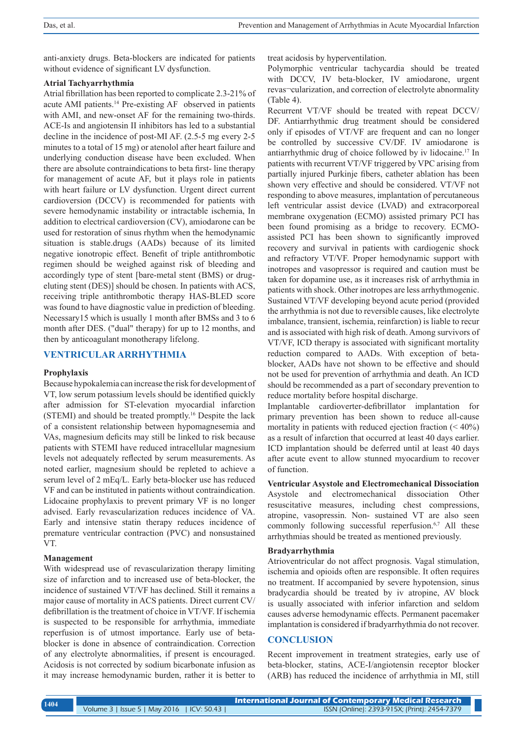anti-anxiety drugs. Beta-blockers are indicated for patients without evidence of significant LV dysfunction.

## **Atrial Tachyarrhythmia**

Atrial fibrillation has been reported to complicate 2.3-21% of acute AMI patients.14 Pre-existing AF observed in patients with AMI, and new-onset AF for the remaining two-thirds. ACE-Is and angiotensin II inhibitors has led to a substantial decline in the incidence of post-MI AF. (2.5-5 mg every 2-5 minutes to a total of 15 mg) or atenolol after heart failure and underlying conduction disease have been excluded. When there are absolute contraindications to beta first- line therapy for management of acute AF, but it plays role in patients with heart failure or LV dysfunction. Urgent direct current cardioversion (DCCV) is recommended for patients with severe hemodynamic instability or intractable ischemia, In addition to electrical cardioversion (CV), amiodarone can be used for restoration of sinus rhythm when the hemodynamic situation is stable.drugs (AADs) because of its limited negative ionotropic effect. Benefit of triple antithrombotic regimen should be weighed against risk of bleeding and accordingly type of stent [bare-metal stent (BMS) or drugeluting stent (DES)] should be chosen. In patients with ACS, receiving triple antithrombotic therapy HAS-BLED score was found to have diagnostic value in prediction of bleeding. Necessary15 which is usually 1 month after BMSs and 3 to 6 month after DES. ("dual" therapy) for up to 12 months, and then by anticoagulant monotherapy lifelong.

#### **VENTRICULAR ARRHYTHMIA**

#### **Prophylaxis**

Because hypokalemia can increase the risk for development of VT, low serum potassium levels should be identified quickly after admission for ST-elevation myocardial infarction (STEMI) and should be treated promptly.16 Despite the lack of a consistent relationship between hypomagnesemia and VAs, magnesium deficits may still be linked to risk because patients with STEMI have reduced intracellular magnesium levels not adequately reflected by serum measurements. As noted earlier, magnesium should be repleted to achieve a serum level of 2 mEq/L. Early beta-blocker use has reduced VF and can be instituted in patients without contraindication. Lidocaine prophylaxis to prevent primary VF is no longer advised. Early revascularization reduces incidence of VA. Early and intensive statin therapy reduces incidence of premature ventricular contraction (PVC) and nonsustained VT.

#### **Management**

With widespread use of revascularization therapy limiting size of infarction and to increased use of beta-blocker, the incidence of sustained VT/VF has declined. Still it remains a major cause of mortality in ACS patients. Direct current CV/ defibrillation is the treatment of choice in VT/VF. If ischemia is suspected to be responsible for arrhythmia, immediate reperfusion is of utmost importance. Early use of betablocker is done in absence of contraindication. Correction of any electrolyte abnormalities, if present is encouraged. Acidosis is not corrected by sodium bicarbonate infusion as it may increase hemodynamic burden, rather it is better to treat acidosis by hyperventilation.

Polymorphic ventricular tachycardia should be treated with DCCV, IV beta-blocker, IV amiodarone, urgent revas¬cularization, and correction of electrolyte abnormality (Table 4).

Recurrent VT/VF should be treated with repeat DCCV/ DF. Antiarrhythmic drug treatment should be considered only if episodes of VT/VF are frequent and can no longer be controlled by successive CV/DF. IV amiodarone is antiarrhythmic drug of choice followed by iv lidocaine.17 In patients with recurrent VT/VF triggered by VPC arising from partially injured Purkinje fibers, catheter ablation has been shown very effective and should be considered. VT/VF not responding to above measures, implantation of percutaneous left ventricular assist device (LVAD) and extracorporeal membrane oxygenation (ECMO) assisted primary PCI has been found promising as a bridge to recovery. ECMOassisted PCI has been shown to significantly improved recovery and survival in patients with cardiogenic shock and refractory VT/VF. Proper hemodynamic support with inotropes and vasopressor is required and caution must be taken for dopamine use, as it increases risk of arrhythmia in patients with shock. Other inotropes are less arrhythmogenic. Sustained VT/VF developing beyond acute period (provided the arrhythmia is not due to reversible causes, like electrolyte imbalance, transient, ischemia, reinfarction) is liable to recur and is associated with high risk of death. Among survivors of VT/VF, ICD therapy is associated with significant mortality reduction compared to AADs. With exception of betablocker, AADs have not shown to be effective and should not be used for prevention of arrhythmia and death. An ICD should be recommended as a part of secondary prevention to reduce mortality before hospital discharge.

Implantable cardioverter-defibrillator implantation for primary prevention has been shown to reduce all-cause mortality in patients with reduced ejection fraction  $($  <  $40\%)$ as a result of infarction that occurred at least 40 days earlier. ICD implantation should be deferred until at least 40 days after acute event to allow stunned myocardium to recover of function.

**Ventricular Asystole and Electromechanical Dissociation** Asystole and electromechanical dissociation Other resuscitative measures, including chest compressions, atropine, vasopressin. Non- sustained VT are also seen commonly following successful reperfusion.<sup>6,7</sup> All these arrhythmias should be treated as mentioned previously.

#### **Bradyarrhythmia**

Atrioventricular do not affect prognosis. Vagal stimulation, ischemia and opioids often are responsible. It often requires no treatment. If accompanied by severe hypotension, sinus bradycardia should be treated by iv atropine, AV block is usually associated with inferior infarction and seldom causes adverse hemodynamic effects. Permanent pacemaker implantation is considered if bradyarrhythmia do not recover.

# **CONCLUSION**

Recent improvement in treatment strategies, early use of beta-blocker, statins, ACE-I/angiotensin receptor blocker (ARB) has reduced the incidence of arrhythmia in MI, still